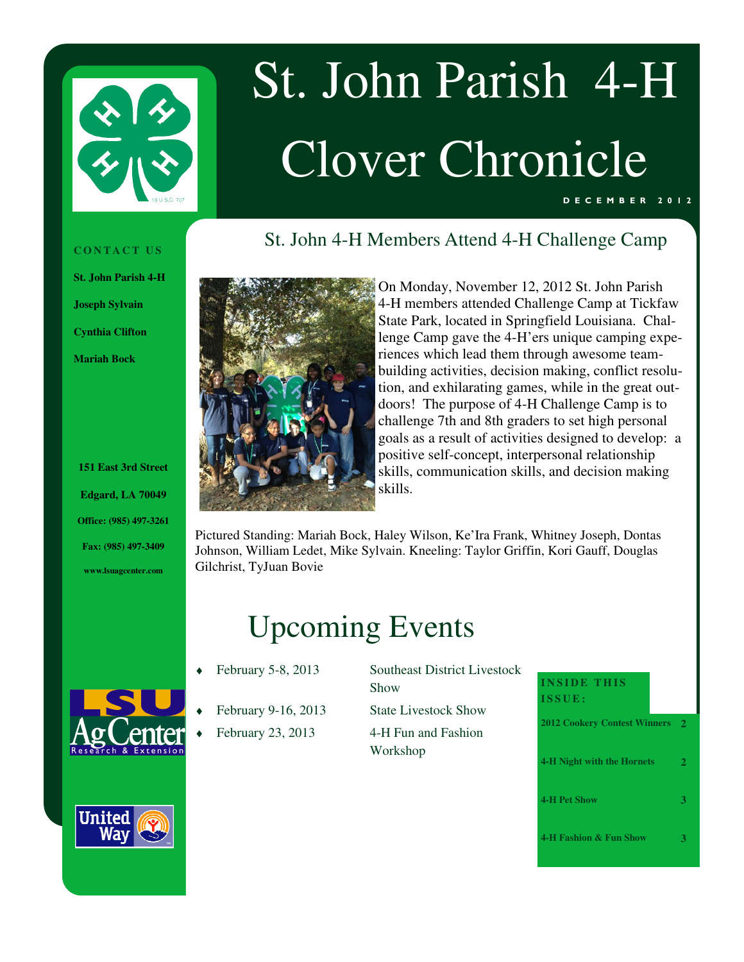

# St. John Parish 4-H Clover Chronicle

St. John 4-H Members Attend 4-H Challenge Camp

#### D E C E M B E R 2 0 1 2

#### **C O N T A C T U S**

**St. John Parish 4-H** 

**Joseph Sylvain** 

**Cynthia Clifton** 

**Mariah Bock** 

**<sup>151</sup> East 3rd Street Edgard, LA 70049 Office: (985) 497-3261 Fax: (985) 497-3409 www.lsuagcenter.com** 



On Monday, November 12, 2012 St. John Parish 4-H members attended Challenge Camp at Tickfaw State Park, located in Springfield Louisiana. Challenge Camp gave the 4-H'ers unique camping experiences which lead them through awesome teambuilding activities, decision making, conflict resolution, and exhilarating games, while in the great outdoors! The purpose of 4-H Challenge Camp is to challenge 7th and 8th graders to set high personal goals as a result of activities designed to develop: a positive self-concept, interpersonal relationship skills, communication skills, and decision making skills.

Pictured Standing: Mariah Bock, Haley Wilson, Ke'Ira Frank, Whitney Joseph, Dontas Johnson, William Ledet, Mike Sylvain. Kneeling: Taylor Griffin, Kori Gauff, Douglas Gilchrist, TyJuan Bovie

## Upcoming Events

- 
- - February 23, 2013 4-H Fun and Fashion

February 5-8, 2013 Southeast District Livestock Show February 9-16, 2013 State Livestock Show

Workshop

### **INSIDE THIS I S S U E :**

| 2012 Cookery Contest Winners 2    |              |
|-----------------------------------|--------------|
| <b>4-H Night with the Hornets</b> | $\mathbf{2}$ |
| <b>4-H Pet Show</b>               | З            |
| 4-H Fashion & Fun Show            |              |

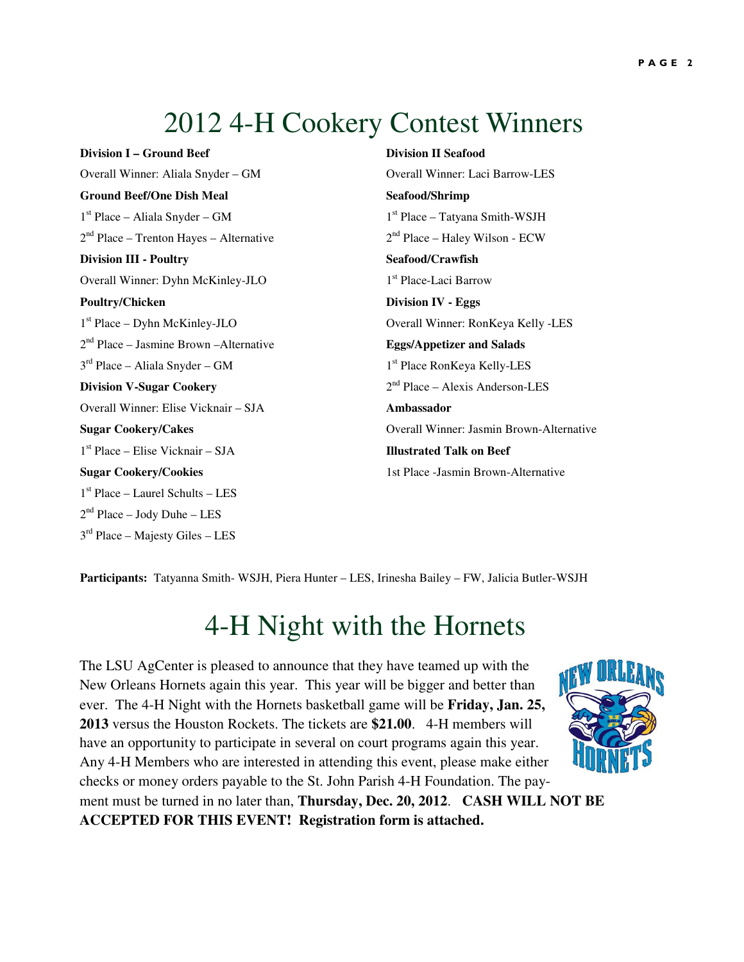## 2012 4-H Cookery Contest Winners

Overall Winner: Aliala Snyder – GM Overall Winner: Laci Barrow-LES Ground Beef/One Dish Meal Seafood/Shrimp  $1<sup>st</sup> Place - Aliala Snvder - GM$  $2<sup>nd</sup> Place - Trenton Hayes - Alternative$  2<sup>nd</sup> Place – Haley Wilson - ECW **Division III - Poultry Seafood/Crawfish** Overall Winner: Dyhn McKinley-JLO1 **Poultry/Chicken** Division IV - Eggs 1<sup>st</sup> Place – Dyhn McKinley-JLO 2 nd Place – Jasmine Brown –Alternative **Eggs/Appetizer and Salads**  $3<sup>rd</sup> Place - Aliala Snyder - GM$ **Division V-Sugar Cookery** Overall Winner: Elise Vicknair – SJA **Ambassador** 1 st Place – Elise Vicknair – SJA **Illustrated Talk on Beef Sugar Cookery/Cookies** 1st Place -Jasmin Brown-Alternative 1 st Place – Laurel Schults – LES 2 nd Place – Jody Duhe – LES 3 rd Place – Majesty Giles – LES

**Division I – Ground Beef Division II Seafood** 

 $1<sup>st</sup> Place - Tatyana Smith-WSIH$ 1<sup>st</sup> Place-Laci Barrow Overall Winner: RonKeya Kelly -LES 1<sup>st</sup> Place RonKeya Kelly-LES  $2<sup>nd</sup> Place - Alexis Anderson-LES$ **Sugar Cookery/Cakes Sugar Cookery/Cakes Overall Winner: Jasmin Brown-Alternative** 

**Participants:** Tatyanna Smith- WSJH, Piera Hunter – LES, Irinesha Bailey – FW, Jalicia Butler-WSJH

## 4-H Night with the Hornets

The LSU AgCenter is pleased to announce that they have teamed up with the New Orleans Hornets again this year. This year will be bigger and better than ever. The 4-H Night with the Hornets basketball game will be **Friday, Jan. 25, 2013** versus the Houston Rockets. The tickets are **\$21.00**. 4-H members will have an opportunity to participate in several on court programs again this year. Any 4-H Members who are interested in attending this event, please make either checks or money orders payable to the St. John Parish 4-H Foundation. The payment must be turned in no later than, **Thursday, Dec. 20, 2012**. **CASH WILL NOT BE ACCEPTED FOR THIS EVENT! Registration form is attached.**